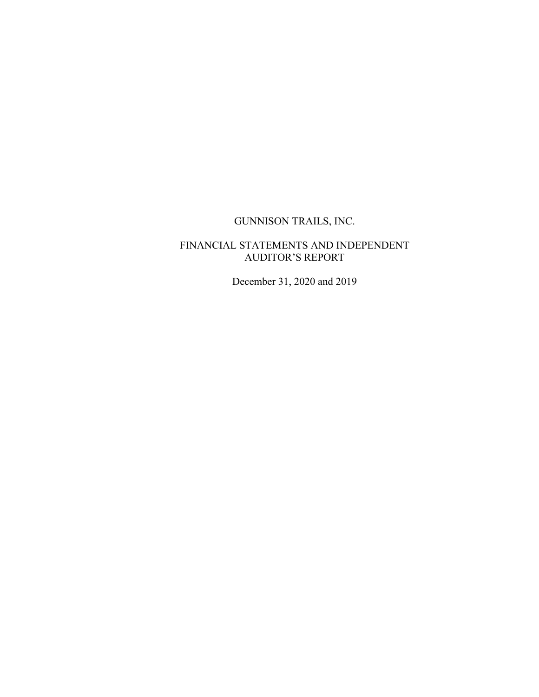# GUNNISON TRAILS, INC.

### FINANCIAL STATEMENTS AND INDEPENDENT AUDITOR'S REPORT

December 31, 2020 and 2019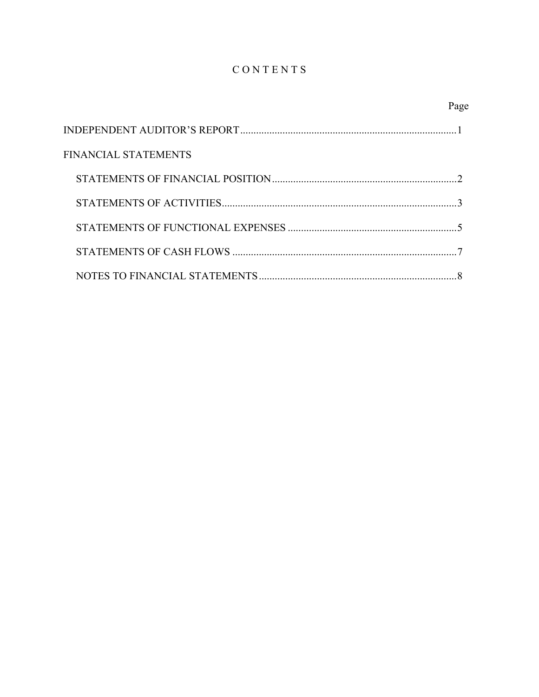# CONTENTS

|                      | Page |
|----------------------|------|
|                      |      |
| FINANCIAL STATEMENTS |      |
|                      |      |
|                      |      |
|                      |      |
|                      |      |
|                      |      |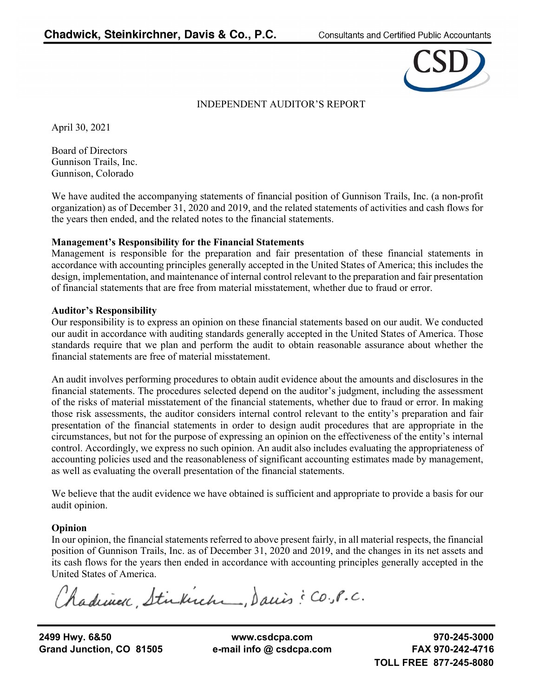

## INDEPENDENT AUDITOR'S REPORT

April 30, 2021

Board of Directors Gunnison Trails, Inc. Gunnison, Colorado

We have audited the accompanying statements of financial position of Gunnison Trails, Inc. (a non-profit organization) as of December 31, 2020 and 2019, and the related statements of activities and cash flows for the years then ended, and the related notes to the financial statements.

### **Management's Responsibility for the Financial Statements**

Management is responsible for the preparation and fair presentation of these financial statements in accordance with accounting principles generally accepted in the United States of America; this includes the design, implementation, and maintenance of internal control relevant to the preparation and fair presentation of financial statements that are free from material misstatement, whether due to fraud or error.

### **Auditor's Responsibility**

Our responsibility is to express an opinion on these financial statements based on our audit. We conducted our audit in accordance with auditing standards generally accepted in the United States of America. Those standards require that we plan and perform the audit to obtain reasonable assurance about whether the financial statements are free of material misstatement.

An audit involves performing procedures to obtain audit evidence about the amounts and disclosures in the financial statements. The procedures selected depend on the auditor's judgment, including the assessment of the risks of material misstatement of the financial statements, whether due to fraud or error. In making those risk assessments, the auditor considers internal control relevant to the entity's preparation and fair presentation of the financial statements in order to design audit procedures that are appropriate in the circumstances, but not for the purpose of expressing an opinion on the effectiveness of the entity's internal control. Accordingly, we express no such opinion. An audit also includes evaluating the appropriateness of accounting policies used and the reasonableness of significant accounting estimates made by management, as well as evaluating the overall presentation of the financial statements.

We believe that the audit evidence we have obtained is sufficient and appropriate to provide a basis for our audit opinion.

## **Opinion**

In our opinion, the financial statements referred to above present fairly, in all material respects, the financial position of Gunnison Trails, Inc. as of December 31, 2020 and 2019, and the changes in its net assets and its cash flows for the years then ended in accordance with accounting principles generally accepted in the United States of America.

Chadriner, Stirkirch, Danis: CO.P.C.

**Grand Junction, CO 81505 e-mail info @ csdcpa.com FAX 970-242-4716**

**2499 Hwy. 6&50 www.csdcpa.com 970-245-3000**

**TOLL FREE 877-245-8080**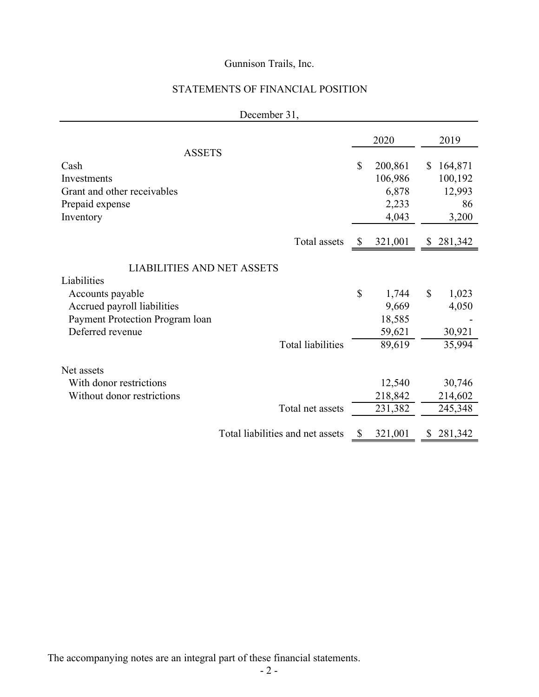# STATEMENTS OF FINANCIAL POSITION

|                                   |              | 2020    |               | 2019    |
|-----------------------------------|--------------|---------|---------------|---------|
| <b>ASSETS</b>                     |              |         |               |         |
| Cash                              | $\mathbb{S}$ | 200,861 | S             | 164,871 |
| Investments                       |              | 106,986 |               | 100,192 |
| Grant and other receivables       |              | 6,878   |               | 12,993  |
| Prepaid expense                   |              | 2,233   |               | 86      |
| Inventory                         |              | 4,043   |               | 3,200   |
|                                   |              |         |               |         |
| Total assets                      | <sup>2</sup> | 321,001 | \$            | 281,342 |
|                                   |              |         |               |         |
| <b>LIABILITIES AND NET ASSETS</b> |              |         |               |         |
| Liabilities                       |              |         |               |         |
| Accounts payable                  | \$           | 1,744   | $\mathcal{S}$ | 1,023   |
| Accrued payroll liabilities       |              | 9,669   |               | 4,050   |
| Payment Protection Program loan   |              | 18,585  |               |         |
| Deferred revenue                  |              | 59,621  |               | 30,921  |
| <b>Total liabilities</b>          |              | 89,619  |               | 35,994  |
|                                   |              |         |               |         |
| Net assets                        |              |         |               |         |
| With donor restrictions           |              | 12,540  |               | 30,746  |
| Without donor restrictions        |              | 218,842 |               | 214,602 |
| Total net assets                  |              | 231,382 |               | 245,348 |
|                                   |              |         |               |         |
| Total liabilities and net assets  | S            | 321,001 | S.            | 281,342 |

December 31,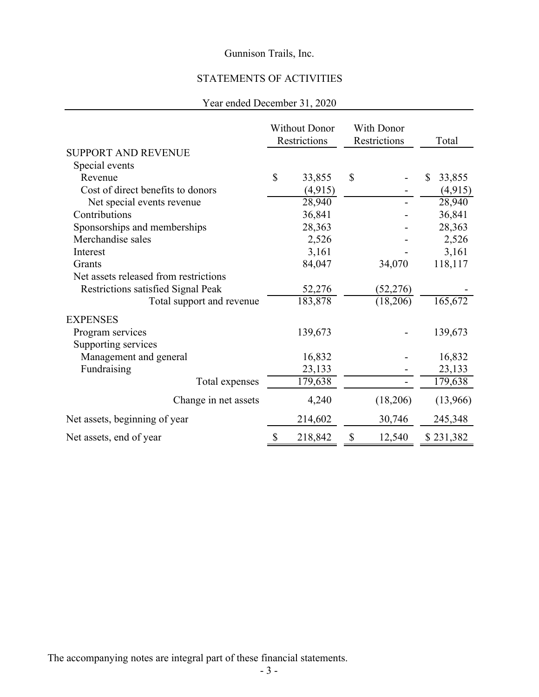# STATEMENTS OF ACTIVITIES

# Year ended December 31, 2020

|                                       | <b>Without Donor</b><br>Restrictions |         | With Donor<br>Restrictions |           | Total        |
|---------------------------------------|--------------------------------------|---------|----------------------------|-----------|--------------|
| <b>SUPPORT AND REVENUE</b>            |                                      |         |                            |           |              |
| Special events                        |                                      |         |                            |           |              |
| Revenue                               | \$                                   | 33,855  | \$                         |           | \$<br>33,855 |
| Cost of direct benefits to donors     |                                      | (4,915) |                            |           | (4, 915)     |
| Net special events revenue            |                                      | 28,940  |                            |           | 28,940       |
| Contributions                         |                                      | 36,841  |                            |           | 36,841       |
| Sponsorships and memberships          |                                      | 28,363  |                            |           | 28,363       |
| Merchandise sales                     |                                      | 2,526   |                            |           | 2,526        |
| Interest                              |                                      | 3,161   |                            |           | 3,161        |
| Grants                                |                                      | 84,047  |                            | 34,070    | 118,117      |
| Net assets released from restrictions |                                      |         |                            |           |              |
| Restrictions satisfied Signal Peak    |                                      | 52,276  |                            | (52, 276) |              |
| Total support and revenue             |                                      | 183,878 |                            | (18,206)  | 165,672      |
| <b>EXPENSES</b>                       |                                      |         |                            |           |              |
| Program services                      |                                      | 139,673 |                            |           | 139,673      |
| Supporting services                   |                                      |         |                            |           |              |
| Management and general                |                                      | 16,832  |                            |           | 16,832       |
| Fundraising                           |                                      | 23,133  |                            |           | 23,133       |
| Total expenses                        |                                      | 179,638 |                            |           | 179,638      |
| Change in net assets                  |                                      | 4,240   |                            | (18,206)  | (13,966)     |
| Net assets, beginning of year         |                                      | 214,602 |                            | 30,746    | 245,348      |
| Net assets, end of year               | \$                                   | 218,842 | \$                         | 12,540    | \$231,382    |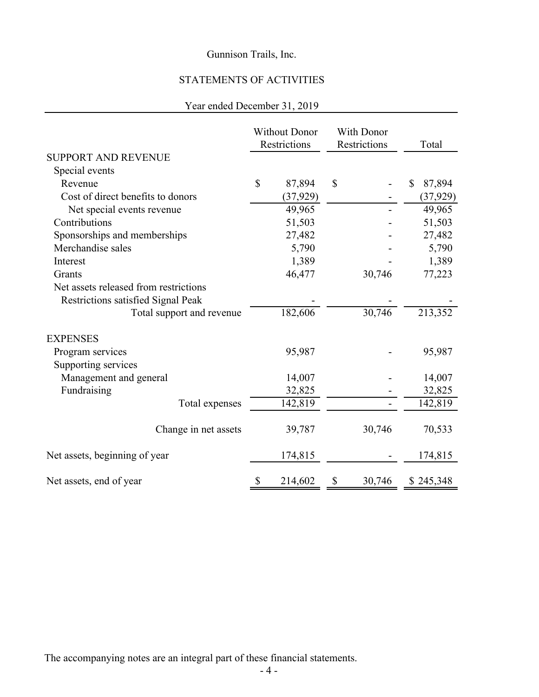# STATEMENTS OF ACTIVITIES

## Year ended December 31, 2019

|                                       | <b>Without Donor</b><br>Restrictions |           | With Donor<br>Restrictions |        | Total                  |
|---------------------------------------|--------------------------------------|-----------|----------------------------|--------|------------------------|
| <b>SUPPORT AND REVENUE</b>            |                                      |           |                            |        |                        |
| Special events                        |                                      |           |                            |        |                        |
| Revenue                               | $\mathsf{\$}$                        | 87,894    | $\mathbf S$                |        | $\mathbb{S}$<br>87,894 |
| Cost of direct benefits to donors     |                                      | (37, 929) |                            |        | (37, 929)              |
| Net special events revenue            |                                      | 49,965    |                            |        | 49,965                 |
| Contributions                         |                                      | 51,503    |                            |        | 51,503                 |
| Sponsorships and memberships          |                                      | 27,482    |                            |        | 27,482                 |
| Merchandise sales                     |                                      | 5,790     |                            |        | 5,790                  |
| Interest                              |                                      | 1,389     |                            |        | 1,389                  |
| Grants                                |                                      | 46,477    |                            | 30,746 | 77,223                 |
| Net assets released from restrictions |                                      |           |                            |        |                        |
| Restrictions satisfied Signal Peak    |                                      |           |                            |        |                        |
| Total support and revenue             |                                      | 182,606   |                            | 30,746 | 213,352                |
| <b>EXPENSES</b>                       |                                      |           |                            |        |                        |
| Program services                      |                                      | 95,987    |                            |        | 95,987                 |
| Supporting services                   |                                      |           |                            |        |                        |
| Management and general                |                                      | 14,007    |                            |        | 14,007                 |
| Fundraising                           |                                      | 32,825    |                            |        | 32,825                 |
| Total expenses                        |                                      | 142,819   |                            |        | 142,819                |
| Change in net assets                  |                                      | 39,787    |                            | 30,746 | 70,533                 |
| Net assets, beginning of year         |                                      | 174,815   |                            |        | 174,815                |
| Net assets, end of year               | \$                                   | 214,602   | \$                         | 30,746 | \$245,348              |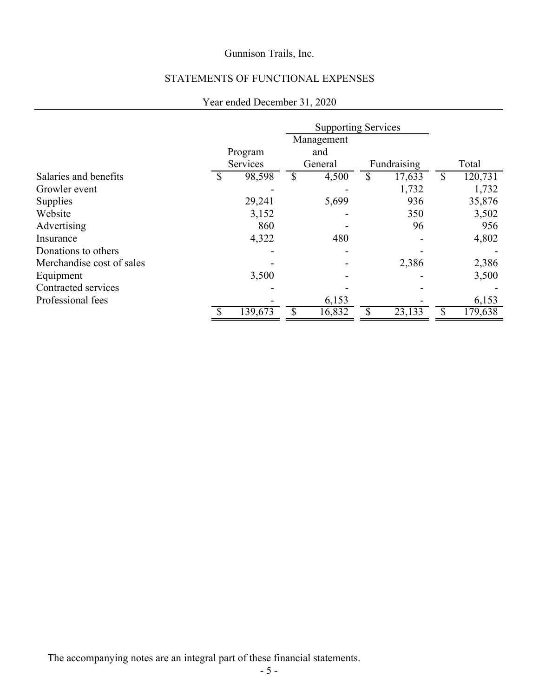# STATEMENTS OF FUNCTIONAL EXPENSES

## Year ended December 31, 2020

|                           |              | <b>Supporting Services</b> |        |             |                     |               |
|---------------------------|--------------|----------------------------|--------|-------------|---------------------|---------------|
|                           |              | Management                 |        |             |                     |               |
|                           | Program      |                            | and    |             |                     |               |
|                           | Services     | General                    |        | Fundraising |                     | Total         |
| Salaries and benefits     | \$<br>98,598 | \$                         | 4,500  | S           | 17,633              | \$<br>120,731 |
| Growler event             |              |                            |        |             | 1,732               | 1,732         |
| Supplies                  | 29,241       |                            | 5,699  |             | 936                 | 35,876        |
| Website                   | 3,152        |                            |        |             | 350                 | 3,502         |
| Advertising               | 860          |                            |        |             | 96                  | 956           |
| Insurance                 | 4,322        |                            | 480    |             |                     | 4,802         |
| Donations to others       |              |                            |        |             |                     |               |
| Merchandise cost of sales |              |                            |        |             | 2,386               | 2,386         |
| Equipment                 | 3,500        |                            |        |             |                     | 3,500         |
| Contracted services       |              |                            |        |             |                     |               |
| Professional fees         |              |                            | 6,153  |             |                     | 6,153         |
|                           | 139,673      |                            | 16,832 |             | $23,\overline{133}$ | 179,638       |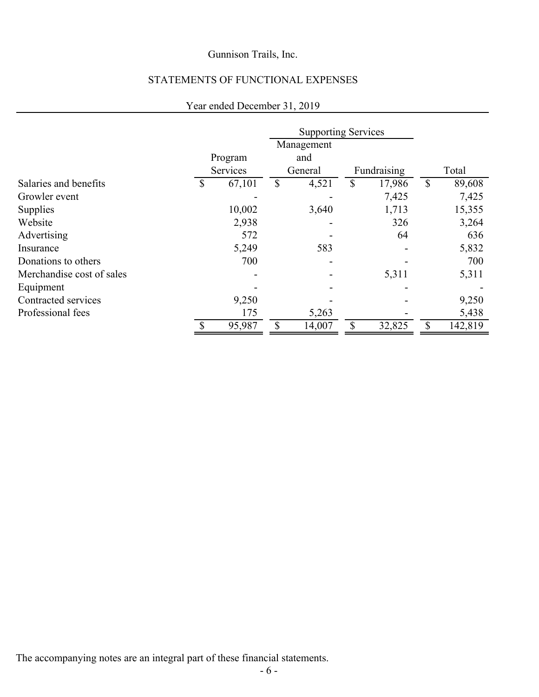# STATEMENTS OF FUNCTIONAL EXPENSES

## Year ended December 31, 2019

|                           |              | <b>Supporting Services</b> |         |    |             |    |         |
|---------------------------|--------------|----------------------------|---------|----|-------------|----|---------|
|                           |              | Management                 |         |    |             |    |         |
|                           | Program      |                            | and     |    |             |    |         |
|                           | Services     |                            | General |    | Fundraising |    | Total   |
| Salaries and benefits     | \$<br>67,101 | \$                         | 4,521   | \$ | 17,986      | \$ | 89,608  |
| Growler event             |              |                            |         |    | 7,425       |    | 7,425   |
| Supplies                  | 10,002       |                            | 3,640   |    | 1,713       |    | 15,355  |
| Website                   | 2,938        |                            |         |    | 326         |    | 3,264   |
| Advertising               | 572          |                            |         |    | 64          |    | 636     |
| Insurance                 | 5,249        |                            | 583     |    |             |    | 5,832   |
| Donations to others       | 700          |                            |         |    |             |    | 700     |
| Merchandise cost of sales |              |                            |         |    | 5,311       |    | 5,311   |
| Equipment                 |              |                            |         |    |             |    |         |
| Contracted services       | 9,250        |                            |         |    |             |    | 9,250   |
| Professional fees         | 175          |                            | 5,263   |    |             |    | 5,438   |
|                           | \$<br>95,987 | \$                         | 14,007  | \$ | 32,825      | \$ | 142,819 |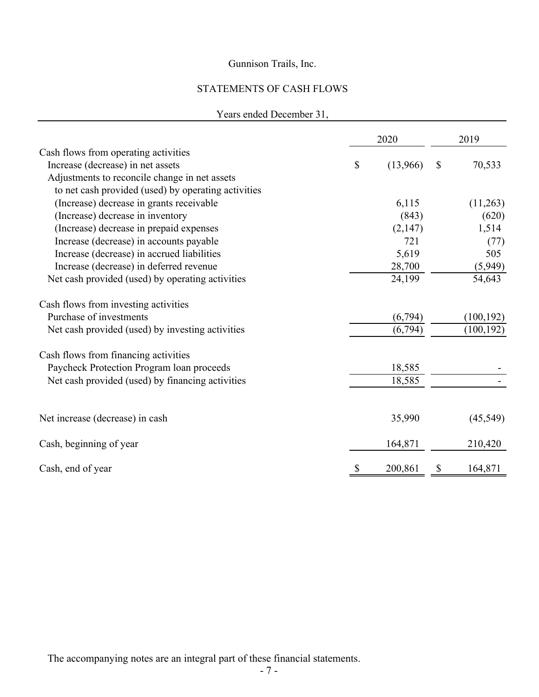# STATEMENTS OF CASH FLOWS

## Years ended December 31,

|                                                     | 2020           |               | 2019       |
|-----------------------------------------------------|----------------|---------------|------------|
| Cash flows from operating activities                |                |               |            |
| Increase (decrease) in net assets                   | \$<br>(13,966) | $\mathcal{S}$ | 70,533     |
| Adjustments to reconcile change in net assets       |                |               |            |
| to net cash provided (used) by operating activities |                |               |            |
| (Increase) decrease in grants receivable            | 6,115          |               | (11,263)   |
| (Increase) decrease in inventory                    | (843)          |               | (620)      |
| (Increase) decrease in prepaid expenses             | (2,147)        |               | 1,514      |
| Increase (decrease) in accounts payable             | 721            |               | (77)       |
| Increase (decrease) in accrued liabilities          | 5,619          |               | 505        |
| Increase (decrease) in deferred revenue             | 28,700         |               | (5,949)    |
| Net cash provided (used) by operating activities    | 24,199         |               | 54,643     |
| Cash flows from investing activities                |                |               |            |
| Purchase of investments                             | (6,794)        |               | (100, 192) |
| Net cash provided (used) by investing activities    | (6, 794)       |               | (100, 192) |
| Cash flows from financing activities                |                |               |            |
| Paycheck Protection Program loan proceeds           | 18,585         |               |            |
| Net cash provided (used) by financing activities    | 18,585         |               |            |
|                                                     |                |               |            |
| Net increase (decrease) in cash                     | 35,990         |               | (45, 549)  |
| Cash, beginning of year                             | 164,871        |               | 210,420    |
| Cash, end of year                                   | 200,861        | S             | 164,871    |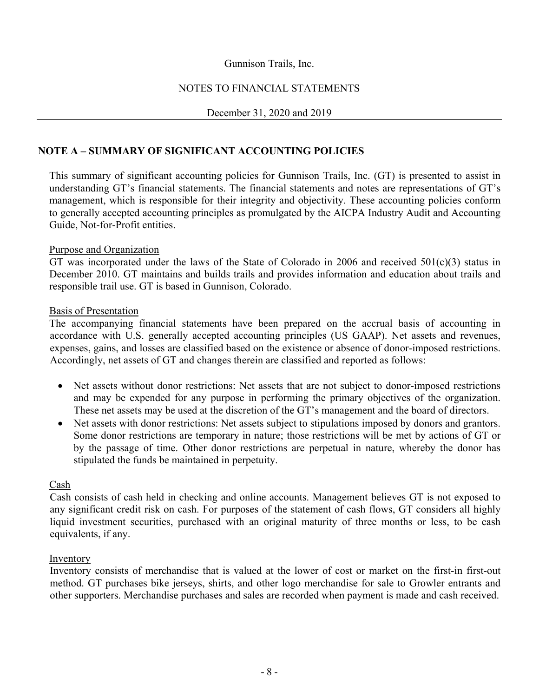## NOTES TO FINANCIAL STATEMENTS

### December 31, 2020 and 2019

## **NOTE A – SUMMARY OF SIGNIFICANT ACCOUNTING POLICIES**

 This summary of significant accounting policies for Gunnison Trails, Inc. (GT) is presented to assist in understanding GT's financial statements. The financial statements and notes are representations of GT's management, which is responsible for their integrity and objectivity. These accounting policies conform to generally accepted accounting principles as promulgated by the AICPA Industry Audit and Accounting Guide, Not-for-Profit entities.

### Purpose and Organization

 GT was incorporated under the laws of the State of Colorado in 2006 and received 501(c)(3) status in December 2010. GT maintains and builds trails and provides information and education about trails and responsible trail use. GT is based in Gunnison, Colorado.

#### Basis of Presentation

 The accompanying financial statements have been prepared on the accrual basis of accounting in accordance with U.S. generally accepted accounting principles (US GAAP). Net assets and revenues, expenses, gains, and losses are classified based on the existence or absence of donor-imposed restrictions. Accordingly, net assets of GT and changes therein are classified and reported as follows:

- Net assets without donor restrictions: Net assets that are not subject to donor-imposed restrictions and may be expended for any purpose in performing the primary objectives of the organization. These net assets may be used at the discretion of the GT's management and the board of directors.
- Net assets with donor restrictions: Net assets subject to stipulations imposed by donors and grantors. Some donor restrictions are temporary in nature; those restrictions will be met by actions of GT or by the passage of time. Other donor restrictions are perpetual in nature, whereby the donor has stipulated the funds be maintained in perpetuity.

#### Cash

Cash consists of cash held in checking and online accounts. Management believes GT is not exposed to any significant credit risk on cash. For purposes of the statement of cash flows, GT considers all highly liquid investment securities, purchased with an original maturity of three months or less, to be cash equivalents, if any.

### Inventory

Inventory consists of merchandise that is valued at the lower of cost or market on the first-in first-out method. GT purchases bike jerseys, shirts, and other logo merchandise for sale to Growler entrants and other supporters. Merchandise purchases and sales are recorded when payment is made and cash received.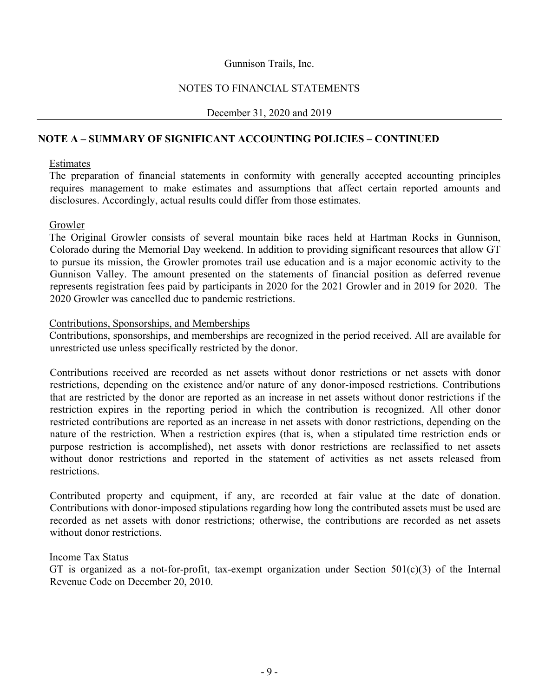### NOTES TO FINANCIAL STATEMENTS

### December 31, 2020 and 2019

### **NOTE A – SUMMARY OF SIGNIFICANT ACCOUNTING POLICIES – CONTINUED**

#### Estimates

 The preparation of financial statements in conformity with generally accepted accounting principles requires management to make estimates and assumptions that affect certain reported amounts and disclosures. Accordingly, actual results could differ from those estimates.

### Growler

 The Original Growler consists of several mountain bike races held at Hartman Rocks in Gunnison, Colorado during the Memorial Day weekend. In addition to providing significant resources that allow GT to pursue its mission, the Growler promotes trail use education and is a major economic activity to the Gunnison Valley. The amount presented on the statements of financial position as deferred revenue represents registration fees paid by participants in 2020 for the 2021 Growler and in 2019 for 2020. The 2020 Growler was cancelled due to pandemic restrictions.

### Contributions, Sponsorships, and Memberships

 Contributions, sponsorships, and memberships are recognized in the period received. All are available for unrestricted use unless specifically restricted by the donor.

 Contributions received are recorded as net assets without donor restrictions or net assets with donor restrictions, depending on the existence and/or nature of any donor-imposed restrictions. Contributions that are restricted by the donor are reported as an increase in net assets without donor restrictions if the restriction expires in the reporting period in which the contribution is recognized. All other donor restricted contributions are reported as an increase in net assets with donor restrictions, depending on the nature of the restriction. When a restriction expires (that is, when a stipulated time restriction ends or purpose restriction is accomplished), net assets with donor restrictions are reclassified to net assets without donor restrictions and reported in the statement of activities as net assets released from restrictions.

 Contributed property and equipment, if any, are recorded at fair value at the date of donation. Contributions with donor-imposed stipulations regarding how long the contributed assets must be used are recorded as net assets with donor restrictions; otherwise, the contributions are recorded as net assets without donor restrictions.

### Income Tax Status

GT is organized as a not-for-profit, tax-exempt organization under Section  $501(c)(3)$  of the Internal Revenue Code on December 20, 2010.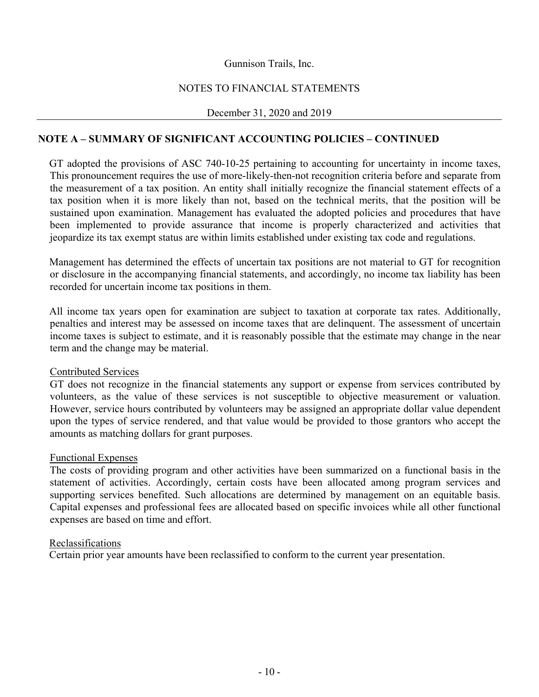## NOTES TO FINANCIAL STATEMENTS

December 31, 2020 and 2019

## **NOTE A – SUMMARY OF SIGNIFICANT ACCOUNTING POLICIES – CONTINUED**

 GT adopted the provisions of ASC 740-10-25 pertaining to accounting for uncertainty in income taxes, This pronouncement requires the use of more-likely-then-not recognition criteria before and separate from the measurement of a tax position. An entity shall initially recognize the financial statement effects of a tax position when it is more likely than not, based on the technical merits, that the position will be sustained upon examination. Management has evaluated the adopted policies and procedures that have been implemented to provide assurance that income is properly characterized and activities that jeopardize its tax exempt status are within limits established under existing tax code and regulations.

Management has determined the effects of uncertain tax positions are not material to GT for recognition or disclosure in the accompanying financial statements, and accordingly, no income tax liability has been recorded for uncertain income tax positions in them.

 All income tax years open for examination are subject to taxation at corporate tax rates. Additionally, penalties and interest may be assessed on income taxes that are delinquent. The assessment of uncertain income taxes is subject to estimate, and it is reasonably possible that the estimate may change in the near term and the change may be material.

### Contributed Services

 GT does not recognize in the financial statements any support or expense from services contributed by volunteers, as the value of these services is not susceptible to objective measurement or valuation. However, service hours contributed by volunteers may be assigned an appropriate dollar value dependent upon the types of service rendered, and that value would be provided to those grantors who accept the amounts as matching dollars for grant purposes.

### Functional Expenses

The costs of providing program and other activities have been summarized on a functional basis in the statement of activities. Accordingly, certain costs have been allocated among program services and supporting services benefited. Such allocations are determined by management on an equitable basis. Capital expenses and professional fees are allocated based on specific invoices while all other functional expenses are based on time and effort.

### Reclassifications

Certain prior year amounts have been reclassified to conform to the current year presentation.